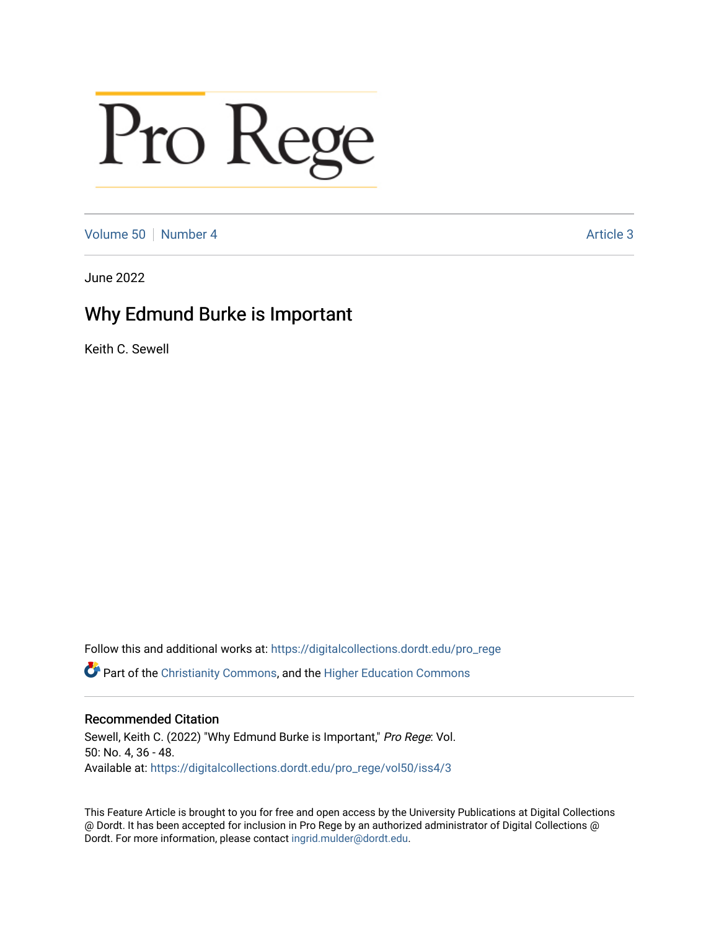# Pro Rege

[Volume 50](https://digitalcollections.dordt.edu/pro_rege/vol50) [Number 4](https://digitalcollections.dordt.edu/pro_rege/vol50/iss4) Article 3

June 2022

## Why Edmund Burke is Important

Keith C. Sewell

Follow this and additional works at: [https://digitalcollections.dordt.edu/pro\\_rege](https://digitalcollections.dordt.edu/pro_rege?utm_source=digitalcollections.dordt.edu%2Fpro_rege%2Fvol50%2Fiss4%2F3&utm_medium=PDF&utm_campaign=PDFCoverPages) 

Part of the [Christianity Commons,](https://network.bepress.com/hgg/discipline/1181?utm_source=digitalcollections.dordt.edu%2Fpro_rege%2Fvol50%2Fiss4%2F3&utm_medium=PDF&utm_campaign=PDFCoverPages) and the [Higher Education Commons](https://network.bepress.com/hgg/discipline/1245?utm_source=digitalcollections.dordt.edu%2Fpro_rege%2Fvol50%2Fiss4%2F3&utm_medium=PDF&utm_campaign=PDFCoverPages) 

## Recommended Citation

Sewell, Keith C. (2022) "Why Edmund Burke is Important," Pro Rege: Vol. 50: No. 4, 36 - 48. Available at: [https://digitalcollections.dordt.edu/pro\\_rege/vol50/iss4/3](https://digitalcollections.dordt.edu/pro_rege/vol50/iss4/3?utm_source=digitalcollections.dordt.edu%2Fpro_rege%2Fvol50%2Fiss4%2F3&utm_medium=PDF&utm_campaign=PDFCoverPages) 

This Feature Article is brought to you for free and open access by the University Publications at Digital Collections @ Dordt. It has been accepted for inclusion in Pro Rege by an authorized administrator of Digital Collections @ Dordt. For more information, please contact [ingrid.mulder@dordt.edu.](mailto:ingrid.mulder@dordt.edu)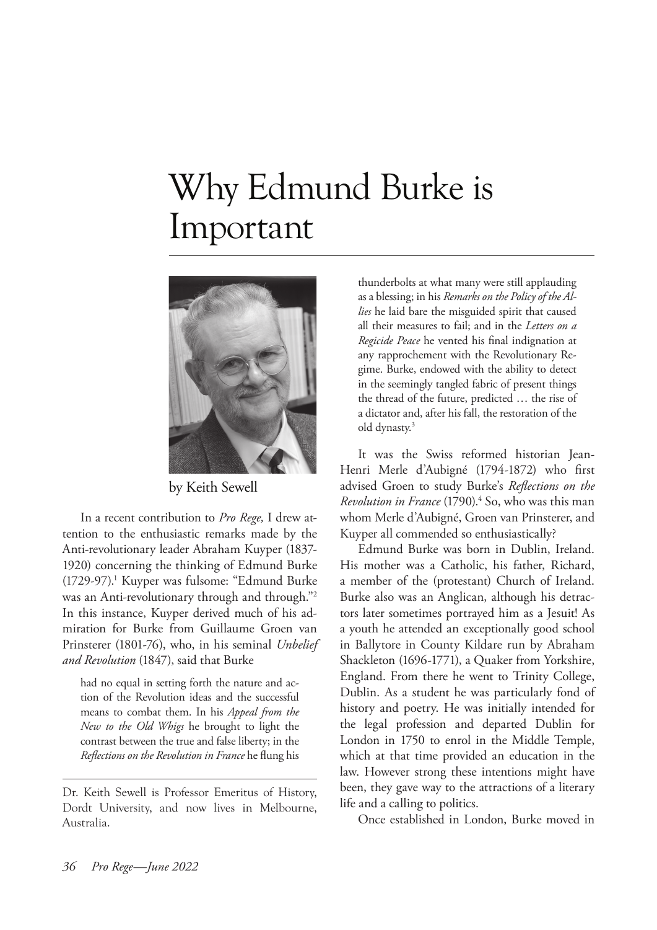# Why Edmund Burke is Important



by Keith Sewell

In a recent contribution to *Pro Rege,* I drew attention to the enthusiastic remarks made by the Anti-revolutionary leader Abraham Kuyper (1837- 1920) concerning the thinking of Edmund Burke (1729-97).1 Kuyper was fulsome: "Edmund Burke was an Anti-revolutionary through and through."2 In this instance, Kuyper derived much of his admiration for Burke from Guillaume Groen van Prinsterer (1801-76), who, in his seminal *Unbelief and Revolution* (1847), said that Burke

had no equal in setting forth the nature and action of the Revolution ideas and the successful means to combat them. In his *Appeal from the New to the Old Whigs* he brought to light the contrast between the true and false liberty; in the *Reflections on the Revolution in France* he flung his

Dr. Keith Sewell is Professor Emeritus of History, Dordt University, and now lives in Melbourne, Australia.

thunderbolts at what many were still applauding as a blessing; in his *Remarks on the Policy of the Allies* he laid bare the misguided spirit that caused all their measures to fail; and in the *Letters on a Regicide Peace* he vented his final indignation at any rapprochement with the Revolutionary Regime. Burke, endowed with the ability to detect in the seemingly tangled fabric of present things the thread of the future, predicted … the rise of a dictator and, after his fall, the restoration of the old dynasty.3

It was the Swiss reformed historian Jean-Henri Merle d'Aubigné (1794-1872) who first advised Groen to study Burke's *Reflections on the Revolution in France* (1790).<sup>4</sup> So, who was this man whom Merle d'Aubigné, Groen van Prinsterer, and Kuyper all commended so enthusiastically?

Edmund Burke was born in Dublin, Ireland. His mother was a Catholic, his father, Richard, a member of the (protestant) Church of Ireland. Burke also was an Anglican, although his detractors later sometimes portrayed him as a Jesuit! As a youth he attended an exceptionally good school in Ballytore in County Kildare run by Abraham Shackleton (1696-1771), a Quaker from Yorkshire, England. From there he went to Trinity College, Dublin. As a student he was particularly fond of history and poetry. He was initially intended for the legal profession and departed Dublin for London in 1750 to enrol in the Middle Temple, which at that time provided an education in the law. However strong these intentions might have been, they gave way to the attractions of a literary life and a calling to politics.

Once established in London, Burke moved in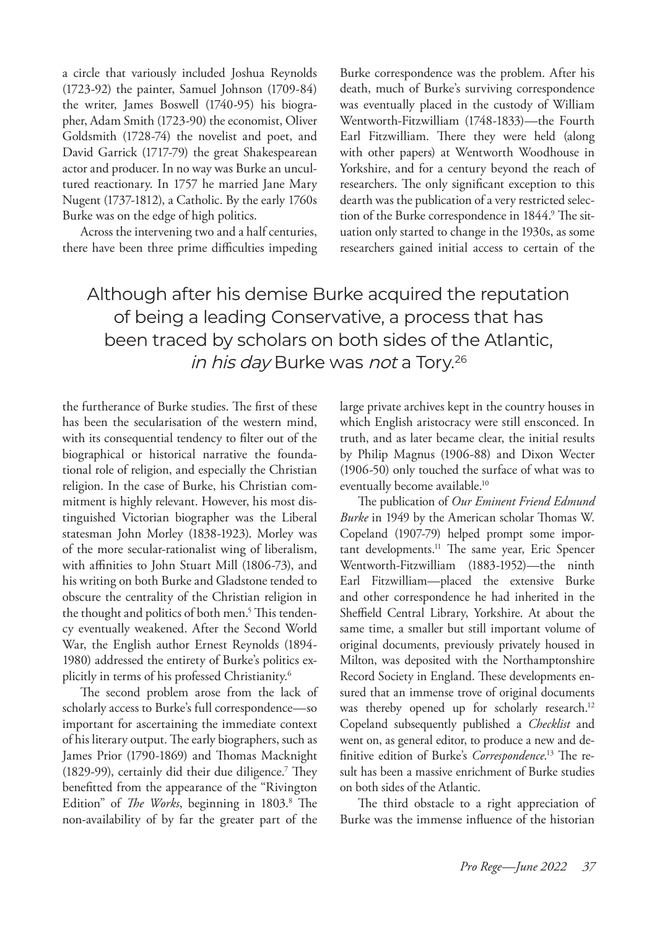a circle that variously included Joshua Reynolds (1723-92) the painter, Samuel Johnson (1709-84) the writer, James Boswell (1740-95) his biographer, Adam Smith (1723-90) the economist, Oliver Goldsmith (1728-74) the novelist and poet, and David Garrick (1717-79) the great Shakespearean actor and producer. In no way was Burke an uncultured reactionary. In 1757 he married Jane Mary Nugent (1737-1812), a Catholic. By the early 1760s Burke was on the edge of high politics.

Across the intervening two and a half centuries, there have been three prime difficulties impeding

Burke correspondence was the problem. After his death, much of Burke's surviving correspondence was eventually placed in the custody of William Wentworth-Fitzwilliam (1748-1833)—the Fourth Earl Fitzwilliam. There they were held (along with other papers) at Wentworth Woodhouse in Yorkshire, and for a century beyond the reach of researchers. The only significant exception to this dearth was the publication of a very restricted selection of the Burke correspondence in 1844.<sup>9</sup> The situation only started to change in the 1930s, as some researchers gained initial access to certain of the

## Although after his demise Burke acquired the reputation of being a leading Conservative, a process that has been traced by scholars on both sides of the Atlantic, in his day Burke was not a Tory.<sup>26</sup>

the furtherance of Burke studies. The first of these has been the secularisation of the western mind, with its consequential tendency to filter out of the biographical or historical narrative the foundational role of religion, and especially the Christian religion. In the case of Burke, his Christian commitment is highly relevant. However, his most distinguished Victorian biographer was the Liberal statesman John Morley (1838-1923). Morley was of the more secular-rationalist wing of liberalism, with affinities to John Stuart Mill (1806-73), and his writing on both Burke and Gladstone tended to obscure the centrality of the Christian religion in the thought and politics of both men.<sup>5</sup> This tendency eventually weakened. After the Second World War, the English author Ernest Reynolds (1894- 1980) addressed the entirety of Burke's politics explicitly in terms of his professed Christianity.6

The second problem arose from the lack of scholarly access to Burke's full correspondence—so important for ascertaining the immediate context of his literary output. The early biographers, such as James Prior (1790-1869) and Thomas Macknight (1829-99), certainly did their due diligence.<sup>7</sup> They benefitted from the appearance of the "Rivington Edition" of *The Works*, beginning in 1803.<sup>8</sup> The non-availability of by far the greater part of the

large private archives kept in the country houses in which English aristocracy were still ensconced. In truth, and as later became clear, the initial results by Philip Magnus (1906-88) and Dixon Wecter (1906-50) only touched the surface of what was to eventually become available.<sup>10</sup>

The publication of *Our Eminent Friend Edmund Burke* in 1949 by the American scholar Thomas W. Copeland (1907-79) helped prompt some important developments.<sup>11</sup> The same year, Eric Spencer Wentworth-Fitzwilliam (1883-1952)—the ninth Earl Fitzwilliam—placed the extensive Burke and other correspondence he had inherited in the Sheffield Central Library, Yorkshire. At about the same time, a smaller but still important volume of original documents, previously privately housed in Milton, was deposited with the Northamptonshire Record Society in England. These developments ensured that an immense trove of original documents was thereby opened up for scholarly research.<sup>12</sup> Copeland subsequently published a *Checklist* and went on, as general editor, to produce a new and definitive edition of Burke's *Correspondence*. 13 The result has been a massive enrichment of Burke studies on both sides of the Atlantic.

The third obstacle to a right appreciation of Burke was the immense influence of the historian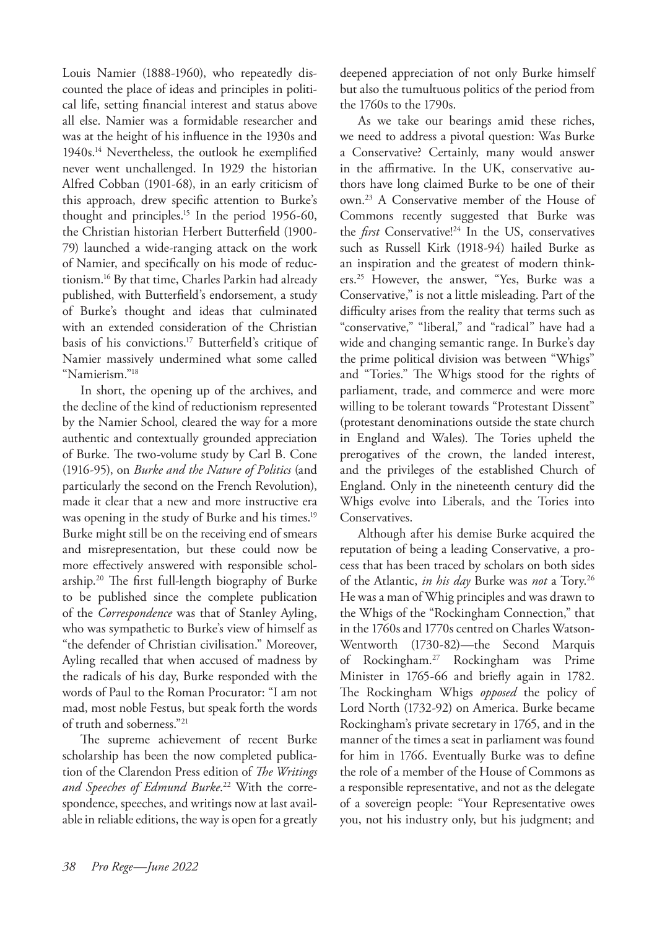Louis Namier (1888-1960), who repeatedly discounted the place of ideas and principles in political life, setting financial interest and status above all else. Namier was a formidable researcher and was at the height of his influence in the 1930s and 1940s.14 Nevertheless, the outlook he exemplified never went unchallenged. In 1929 the historian Alfred Cobban (1901-68), in an early criticism of this approach, drew specific attention to Burke's thought and principles.15 In the period 1956-60, the Christian historian Herbert Butterfield (1900- 79) launched a wide-ranging attack on the work of Namier, and specifically on his mode of reductionism.16 By that time, Charles Parkin had already published, with Butterfield's endorsement, a study of Burke's thought and ideas that culminated with an extended consideration of the Christian basis of his convictions.17 Butterfield's critique of Namier massively undermined what some called "Namierism."18

In short, the opening up of the archives, and the decline of the kind of reductionism represented by the Namier School, cleared the way for a more authentic and contextually grounded appreciation of Burke. The two-volume study by Carl B. Cone (1916-95), on *Burke and the Nature of Politics* (and particularly the second on the French Revolution), made it clear that a new and more instructive era was opening in the study of Burke and his times.<sup>19</sup> Burke might still be on the receiving end of smears and misrepresentation, but these could now be more effectively answered with responsible scholarship.20 The first full-length biography of Burke to be published since the complete publication of the *Correspondence* was that of Stanley Ayling, who was sympathetic to Burke's view of himself as "the defender of Christian civilisation." Moreover, Ayling recalled that when accused of madness by the radicals of his day, Burke responded with the words of Paul to the Roman Procurator: "I am not mad, most noble Festus, but speak forth the words of truth and soberness."21

The supreme achievement of recent Burke scholarship has been the now completed publication of the Clarendon Press edition of *The Writings and Speeches of Edmund Burke*. 22 With the correspondence, speeches, and writings now at last available in reliable editions, the way is open for a greatly deepened appreciation of not only Burke himself but also the tumultuous politics of the period from the 1760s to the 1790s.

As we take our bearings amid these riches, we need to address a pivotal question: Was Burke a Conservative? Certainly, many would answer in the affirmative. In the UK, conservative authors have long claimed Burke to be one of their own.23 A Conservative member of the House of Commons recently suggested that Burke was the *first* Conservative!<sup>24</sup> In the US, conservatives such as Russell Kirk (1918-94) hailed Burke as an inspiration and the greatest of modern thinkers.25 However, the answer, "Yes, Burke was a Conservative," is not a little misleading. Part of the difficulty arises from the reality that terms such as "conservative," "liberal," and "radical" have had a wide and changing semantic range. In Burke's day the prime political division was between "Whigs" and "Tories." The Whigs stood for the rights of parliament, trade, and commerce and were more willing to be tolerant towards "Protestant Dissent" (protestant denominations outside the state church in England and Wales). The Tories upheld the prerogatives of the crown, the landed interest, and the privileges of the established Church of England. Only in the nineteenth century did the Whigs evolve into Liberals, and the Tories into Conservatives.

Although after his demise Burke acquired the reputation of being a leading Conservative, a process that has been traced by scholars on both sides of the Atlantic, *in his day* Burke was *not* a Tory.26 He was a man of Whig principles and was drawn to the Whigs of the "Rockingham Connection," that in the 1760s and 1770s centred on Charles Watson-Wentworth (1730-82)—the Second Marquis of Rockingham.27 Rockingham was Prime Minister in 1765-66 and briefly again in 1782. The Rockingham Whigs *opposed* the policy of Lord North (1732-92) on America. Burke became Rockingham's private secretary in 1765, and in the manner of the times a seat in parliament was found for him in 1766. Eventually Burke was to define the role of a member of the House of Commons as a responsible representative, and not as the delegate of a sovereign people: "Your Representative owes you, not his industry only, but his judgment; and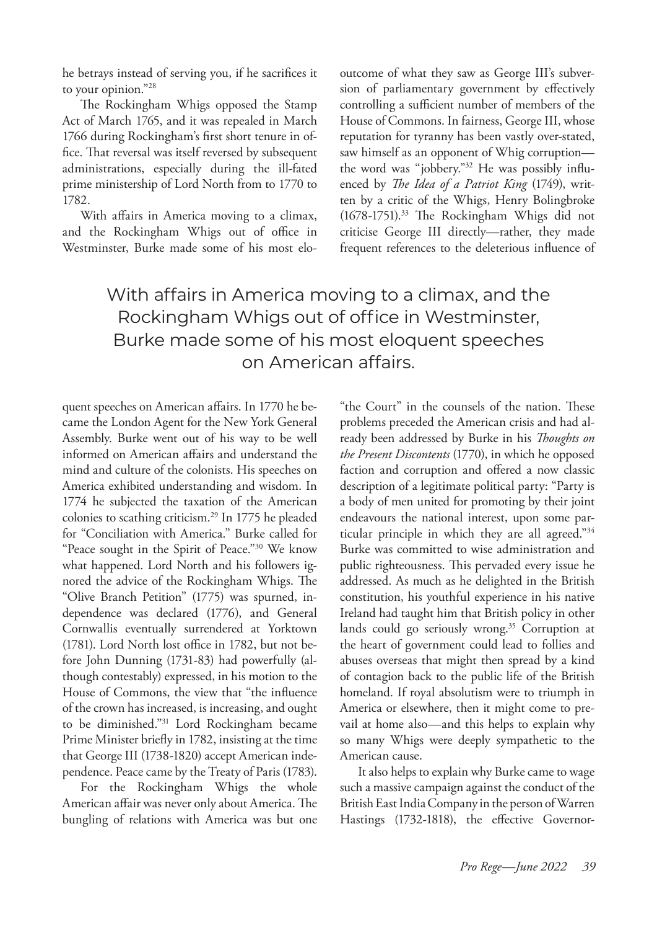he betrays instead of serving you, if he sacrifices it to your opinion."28

The Rockingham Whigs opposed the Stamp Act of March 1765, and it was repealed in March 1766 during Rockingham's first short tenure in office. That reversal was itself reversed by subsequent administrations, especially during the ill-fated prime ministership of Lord North from to 1770 to 1782.

With affairs in America moving to a climax, and the Rockingham Whigs out of office in Westminster, Burke made some of his most elooutcome of what they saw as George III's subversion of parliamentary government by effectively controlling a sufficient number of members of the House of Commons. In fairness, George III, whose reputation for tyranny has been vastly over-stated, saw himself as an opponent of Whig corruption the word was "jobbery."32 He was possibly influenced by *The Idea of a Patriot King* (1749), written by a critic of the Whigs, Henry Bolingbroke (1678-1751).33 The Rockingham Whigs did not criticise George III directly—rather, they made frequent references to the deleterious influence of

With affairs in America moving to a climax, and the Rockingham Whigs out of office in Westminster, Burke made some of his most eloquent speeches on American affairs.

quent speeches on American affairs. In 1770 he became the London Agent for the New York General Assembly. Burke went out of his way to be well informed on American affairs and understand the mind and culture of the colonists. His speeches on America exhibited understanding and wisdom. In 1774 he subjected the taxation of the American colonies to scathing criticism.29 In 1775 he pleaded for "Conciliation with America." Burke called for "Peace sought in the Spirit of Peace."30 We know what happened. Lord North and his followers ignored the advice of the Rockingham Whigs. The "Olive Branch Petition" (1775) was spurned, independence was declared (1776), and General Cornwallis eventually surrendered at Yorktown (1781). Lord North lost office in 1782, but not before John Dunning (1731-83) had powerfully (although contestably) expressed, in his motion to the House of Commons, the view that "the influence of the crown has increased, is increasing, and ought to be diminished."31 Lord Rockingham became Prime Minister briefly in 1782, insisting at the time that George III (1738-1820) accept American independence. Peace came by the Treaty of Paris (1783).

For the Rockingham Whigs the whole American affair was never only about America. The bungling of relations with America was but one

"the Court" in the counsels of the nation. These problems preceded the American crisis and had already been addressed by Burke in his *Thoughts on the Present Discontents* (1770), in which he opposed faction and corruption and offered a now classic description of a legitimate political party: "Party is a body of men united for promoting by their joint endeavours the national interest, upon some particular principle in which they are all agreed."34 Burke was committed to wise administration and public righteousness. This pervaded every issue he addressed. As much as he delighted in the British constitution, his youthful experience in his native Ireland had taught him that British policy in other lands could go seriously wrong.<sup>35</sup> Corruption at the heart of government could lead to follies and abuses overseas that might then spread by a kind of contagion back to the public life of the British homeland. If royal absolutism were to triumph in America or elsewhere, then it might come to prevail at home also—and this helps to explain why so many Whigs were deeply sympathetic to the American cause.

It also helps to explain why Burke came to wage such a massive campaign against the conduct of the British East India Company in the person of Warren Hastings (1732-1818), the effective Governor-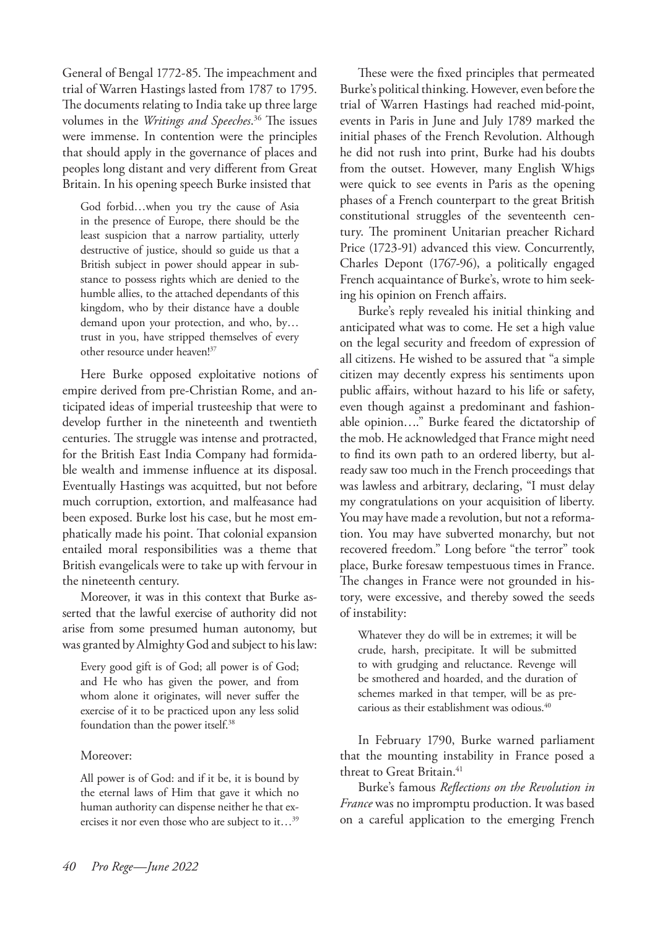General of Bengal 1772-85. The impeachment and trial of Warren Hastings lasted from 1787 to 1795. The documents relating to India take up three large volumes in the *Writings and Speeches*. 36 The issues were immense. In contention were the principles that should apply in the governance of places and peoples long distant and very different from Great Britain. In his opening speech Burke insisted that

God forbid…when you try the cause of Asia in the presence of Europe, there should be the least suspicion that a narrow partiality, utterly destructive of justice, should so guide us that a British subject in power should appear in substance to possess rights which are denied to the humble allies, to the attached dependants of this kingdom, who by their distance have a double demand upon your protection, and who, by… trust in you, have stripped themselves of every other resource under heaven!37

Here Burke opposed exploitative notions of empire derived from pre-Christian Rome, and anticipated ideas of imperial trusteeship that were to develop further in the nineteenth and twentieth centuries. The struggle was intense and protracted, for the British East India Company had formidable wealth and immense influence at its disposal. Eventually Hastings was acquitted, but not before much corruption, extortion, and malfeasance had been exposed. Burke lost his case, but he most emphatically made his point. That colonial expansion entailed moral responsibilities was a theme that British evangelicals were to take up with fervour in the nineteenth century.

Moreover, it was in this context that Burke asserted that the lawful exercise of authority did not arise from some presumed human autonomy, but was granted by Almighty God and subject to his law:

Every good gift is of God; all power is of God; and He who has given the power, and from whom alone it originates, will never suffer the exercise of it to be practiced upon any less solid foundation than the power itself.38

### Moreover:

All power is of God: and if it be, it is bound by the eternal laws of Him that gave it which no human authority can dispense neither he that exercises it nor even those who are subject to it…39

These were the fixed principles that permeated Burke's political thinking. However, even before the trial of Warren Hastings had reached mid-point, events in Paris in June and July 1789 marked the initial phases of the French Revolution. Although he did not rush into print, Burke had his doubts from the outset. However, many English Whigs were quick to see events in Paris as the opening phases of a French counterpart to the great British constitutional struggles of the seventeenth century. The prominent Unitarian preacher Richard Price (1723-91) advanced this view. Concurrently, Charles Depont (1767-96), a politically engaged French acquaintance of Burke's, wrote to him seeking his opinion on French affairs.

Burke's reply revealed his initial thinking and anticipated what was to come. He set a high value on the legal security and freedom of expression of all citizens. He wished to be assured that "a simple citizen may decently express his sentiments upon public affairs, without hazard to his life or safety, even though against a predominant and fashionable opinion…." Burke feared the dictatorship of the mob. He acknowledged that France might need to find its own path to an ordered liberty, but already saw too much in the French proceedings that was lawless and arbitrary, declaring, "I must delay my congratulations on your acquisition of liberty. You may have made a revolution, but not a reformation. You may have subverted monarchy, but not recovered freedom." Long before "the terror" took place, Burke foresaw tempestuous times in France. The changes in France were not grounded in history, were excessive, and thereby sowed the seeds of instability:

Whatever they do will be in extremes; it will be crude, harsh, precipitate. It will be submitted to with grudging and reluctance. Revenge will be smothered and hoarded, and the duration of schemes marked in that temper, will be as precarious as their establishment was odious.<sup>40</sup>

In February 1790, Burke warned parliament that the mounting instability in France posed a threat to Great Britain.<sup>41</sup>

Burke's famous *Reflections on the Revolution in France* was no impromptu production. It was based on a careful application to the emerging French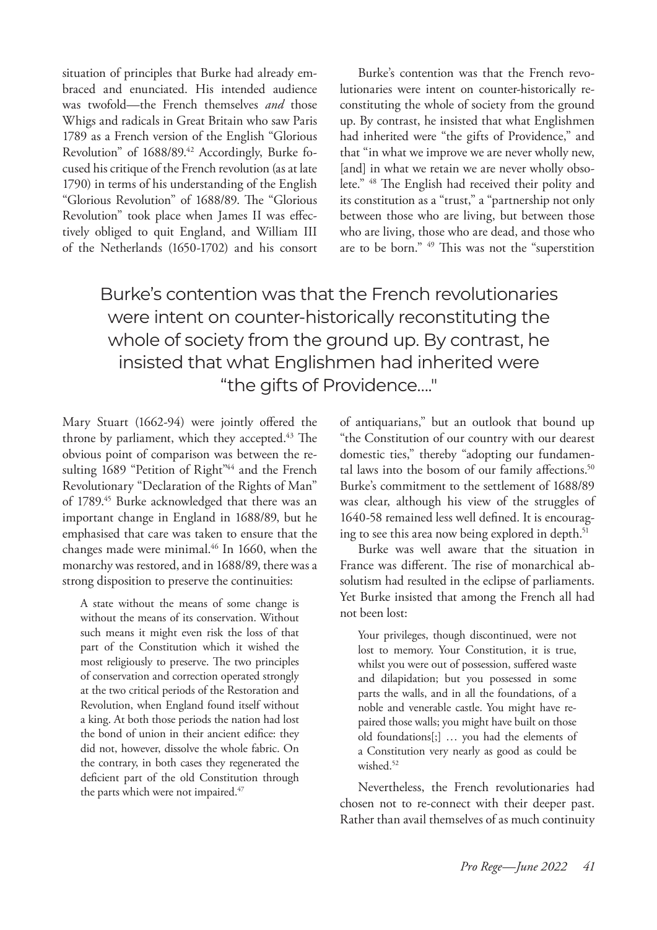situation of principles that Burke had already embraced and enunciated. His intended audience was twofold—the French themselves *and* those Whigs and radicals in Great Britain who saw Paris 1789 as a French version of the English "Glorious Revolution" of 1688/89.<sup>42</sup> Accordingly, Burke focused his critique of the French revolution (as at late 1790) in terms of his understanding of the English "Glorious Revolution" of 1688/89. The "Glorious Revolution" took place when James II was effectively obliged to quit England, and William III of the Netherlands (1650-1702) and his consort

Burke's contention was that the French revolutionaries were intent on counter-historically reconstituting the whole of society from the ground up. By contrast, he insisted that what Englishmen had inherited were "the gifts of Providence," and that "in what we improve we are never wholly new, [and] in what we retain we are never wholly obsolete." 48 The English had received their polity and its constitution as a "trust," a "partnership not only between those who are living, but between those who are living, those who are dead, and those who are to be born." 49 This was not the "superstition

Burke's contention was that the French revolutionaries were intent on counter-historically reconstituting the whole of society from the ground up. By contrast, he insisted that what Englishmen had inherited were "the gifts of Providence…."

Mary Stuart (1662-94) were jointly offered the throne by parliament, which they accepted.<sup>43</sup> The obvious point of comparison was between the resulting 1689 "Petition of Right"<sup>44</sup> and the French Revolutionary "Declaration of the Rights of Man" of 1789.<sup>45</sup> Burke acknowledged that there was an important change in England in 1688/89, but he emphasised that care was taken to ensure that the changes made were minimal.<sup>46</sup> In 1660, when the monarchy was restored, and in 1688/89, there was a strong disposition to preserve the continuities:

A state without the means of some change is without the means of its conservation. Without such means it might even risk the loss of that part of the Constitution which it wished the most religiously to preserve. The two principles of conservation and correction operated strongly at the two critical periods of the Restoration and Revolution, when England found itself without a king. At both those periods the nation had lost the bond of union in their ancient edifice: they did not, however, dissolve the whole fabric. On the contrary, in both cases they regenerated the deficient part of the old Constitution through the parts which were not impaired.<sup>47</sup>

of antiquarians," but an outlook that bound up "the Constitution of our country with our dearest domestic ties," thereby "adopting our fundamental laws into the bosom of our family affections.<sup>50</sup> Burke's commitment to the settlement of 1688/89 was clear, although his view of the struggles of 1640-58 remained less well defined. It is encouraging to see this area now being explored in depth.<sup>51</sup>

Burke was well aware that the situation in France was different. The rise of monarchical absolutism had resulted in the eclipse of parliaments. Yet Burke insisted that among the French all had not been lost:

Your privileges, though discontinued, were not lost to memory. Your Constitution, it is true, whilst you were out of possession, suffered waste and dilapidation; but you possessed in some parts the walls, and in all the foundations, of a noble and venerable castle. You might have repaired those walls; you might have built on those old foundations[;] … you had the elements of a Constitution very nearly as good as could be wished.<sup>52</sup>

Nevertheless, the French revolutionaries had chosen not to re-connect with their deeper past. Rather than avail themselves of as much continuity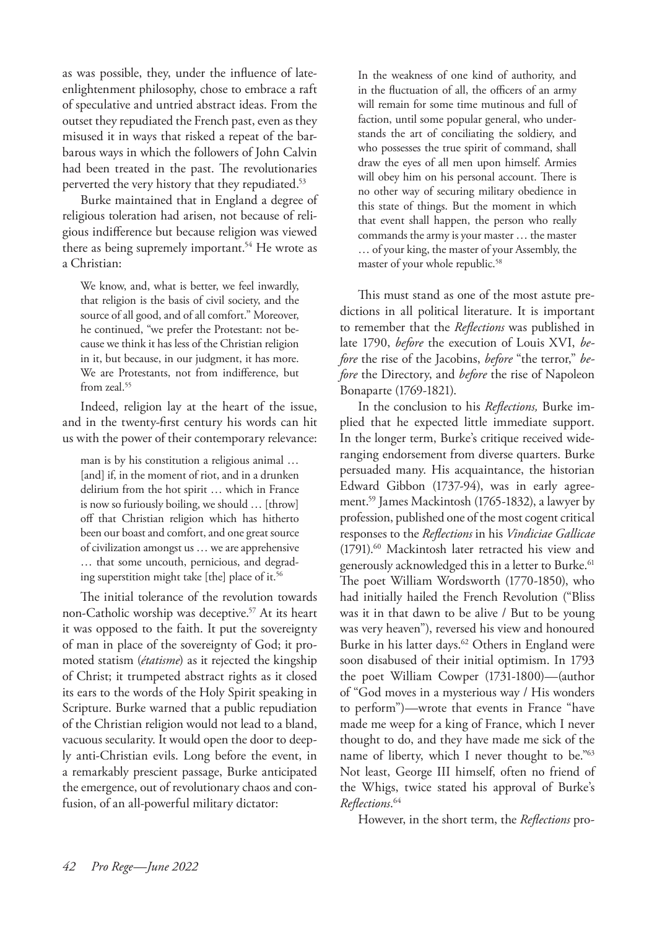as was possible, they, under the influence of lateenlightenment philosophy, chose to embrace a raft of speculative and untried abstract ideas. From the outset they repudiated the French past, even as they misused it in ways that risked a repeat of the barbarous ways in which the followers of John Calvin had been treated in the past. The revolutionaries perverted the very history that they repudiated.<sup>53</sup>

Burke maintained that in England a degree of religious toleration had arisen, not because of religious indifference but because religion was viewed there as being supremely important.<sup>54</sup> He wrote as a Christian:

We know, and, what is better, we feel inwardly, that religion is the basis of civil society, and the source of all good, and of all comfort." Moreover, he continued, "we prefer the Protestant: not because we think it has less of the Christian religion in it, but because, in our judgment, it has more. We are Protestants, not from indifference, but from zeal.<sup>55</sup>

Indeed, religion lay at the heart of the issue, and in the twenty-first century his words can hit us with the power of their contemporary relevance:

man is by his constitution a religious animal … [and] if, in the moment of riot, and in a drunken delirium from the hot spirit … which in France is now so furiously boiling, we should … [throw] off that Christian religion which has hitherto been our boast and comfort, and one great source of civilization amongst us … we are apprehensive … that some uncouth, pernicious, and degrading superstition might take [the] place of it.<sup>56</sup>

The initial tolerance of the revolution towards non-Catholic worship was deceptive.<sup>57</sup> At its heart it was opposed to the faith. It put the sovereignty of man in place of the sovereignty of God; it promoted statism (*étatisme*) as it rejected the kingship of Christ; it trumpeted abstract rights as it closed its ears to the words of the Holy Spirit speaking in Scripture. Burke warned that a public repudiation of the Christian religion would not lead to a bland, vacuous secularity. It would open the door to deeply anti-Christian evils. Long before the event, in a remarkably prescient passage, Burke anticipated the emergence, out of revolutionary chaos and confusion, of an all-powerful military dictator:

In the weakness of one kind of authority, and in the fluctuation of all, the officers of an army will remain for some time mutinous and full of faction, until some popular general, who understands the art of conciliating the soldiery, and who possesses the true spirit of command, shall draw the eyes of all men upon himself. Armies will obey him on his personal account. There is no other way of securing military obedience in this state of things. But the moment in which that event shall happen, the person who really commands the army is your master … the master … of your king, the master of your Assembly, the master of your whole republic.<sup>58</sup>

This must stand as one of the most astute predictions in all political literature. It is important to remember that the *Reflections* was published in late 1790, *before* the execution of Louis XVI, *before* the rise of the Jacobins, *before* "the terror," *before* the Directory, and *before* the rise of Napoleon Bonaparte (1769-1821).

In the conclusion to his *Reflections,* Burke implied that he expected little immediate support. In the longer term, Burke's critique received wideranging endorsement from diverse quarters. Burke persuaded many. His acquaintance, the historian Edward Gibbon (1737-94), was in early agreement.59 James Mackintosh (1765-1832), a lawyer by profession, published one of the most cogent critical responses to the *Reflections* in his *Vindiciae Gallicae* (1791).60 Mackintosh later retracted his view and generously acknowledged this in a letter to Burke.<sup>61</sup> The poet William Wordsworth (1770-1850), who had initially hailed the French Revolution ("Bliss was it in that dawn to be alive / But to be young was very heaven"), reversed his view and honoured Burke in his latter days.<sup>62</sup> Others in England were soon disabused of their initial optimism. In 1793 the poet William Cowper (1731-1800)—(author of "God moves in a mysterious way / His wonders to perform")—wrote that events in France "have made me weep for a king of France, which I never thought to do, and they have made me sick of the name of liberty, which I never thought to be."<sup>63</sup> Not least, George III himself, often no friend of the Whigs, twice stated his approval of Burke's *Reflections*. 64

However, in the short term, the *Reflections* pro-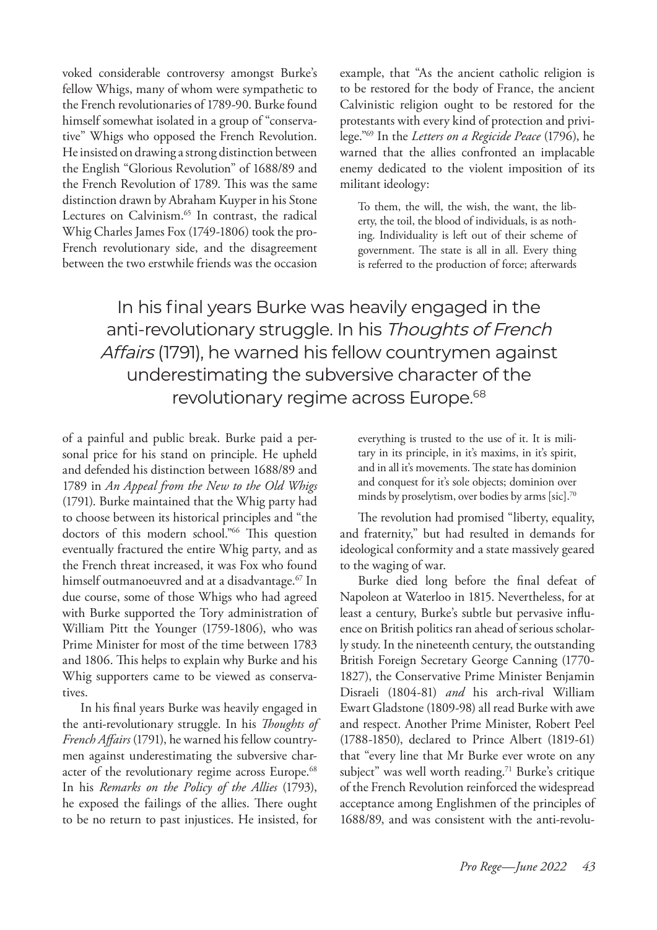voked considerable controversy amongst Burke's fellow Whigs, many of whom were sympathetic to the French revolutionaries of 1789-90. Burke found himself somewhat isolated in a group of "conservative" Whigs who opposed the French Revolution. He insisted on drawing a strong distinction between the English "Glorious Revolution" of 1688/89 and the French Revolution of 1789. This was the same distinction drawn by Abraham Kuyper in his Stone Lectures on Calvinism.<sup>65</sup> In contrast, the radical Whig Charles James Fox (1749-1806) took the pro-French revolutionary side, and the disagreement between the two erstwhile friends was the occasion example, that "As the ancient catholic religion is to be restored for the body of France, the ancient Calvinistic religion ought to be restored for the protestants with every kind of protection and privilege."69 In the *Letters on a Regicide Peace* (1796), he warned that the allies confronted an implacable enemy dedicated to the violent imposition of its militant ideology:

To them, the will, the wish, the want, the liberty, the toil, the blood of individuals, is as nothing. Individuality is left out of their scheme of government. The state is all in all. Every thing is referred to the production of force; afterwards

In his final years Burke was heavily engaged in the anti-revolutionary struggle. In his Thoughts of French Affairs (1791), he warned his fellow countrymen against underestimating the subversive character of the revolutionary regime across Europe.<sup>68</sup>

of a painful and public break. Burke paid a personal price for his stand on principle. He upheld and defended his distinction between 1688/89 and 1789 in *An Appeal from the New to the Old Whigs*  (1791). Burke maintained that the Whig party had to choose between its historical principles and "the doctors of this modern school."66 This question eventually fractured the entire Whig party, and as the French threat increased, it was Fox who found himself outmanoeuvred and at a disadvantage.<sup>67</sup> In due course, some of those Whigs who had agreed with Burke supported the Tory administration of William Pitt the Younger (1759-1806), who was Prime Minister for most of the time between 1783 and 1806. This helps to explain why Burke and his Whig supporters came to be viewed as conservatives.

In his final years Burke was heavily engaged in the anti-revolutionary struggle. In his *Thoughts of French Affairs* (1791), he warned his fellow countrymen against underestimating the subversive character of the revolutionary regime across Europe.<sup>68</sup> In his *Remarks on the Policy of the Allies* (1793), he exposed the failings of the allies. There ought to be no return to past injustices. He insisted, for

everything is trusted to the use of it. It is military in its principle, in it's maxims, in it's spirit, and in all it's movements. The state has dominion and conquest for it's sole objects; dominion over minds by proselytism, over bodies by arms [sic].70

The revolution had promised "liberty, equality, and fraternity," but had resulted in demands for ideological conformity and a state massively geared to the waging of war.

Burke died long before the final defeat of Napoleon at Waterloo in 1815. Nevertheless, for at least a century, Burke's subtle but pervasive influence on British politics ran ahead of serious scholarly study. In the nineteenth century, the outstanding British Foreign Secretary George Canning (1770- 1827), the Conservative Prime Minister Benjamin Disraeli (1804-81) *and* his arch-rival William Ewart Gladstone (1809-98) all read Burke with awe and respect. Another Prime Minister, Robert Peel (1788-1850), declared to Prince Albert (1819-61) that "every line that Mr Burke ever wrote on any subject" was well worth reading.<sup>71</sup> Burke's critique of the French Revolution reinforced the widespread acceptance among Englishmen of the principles of 1688/89, and was consistent with the anti-revolu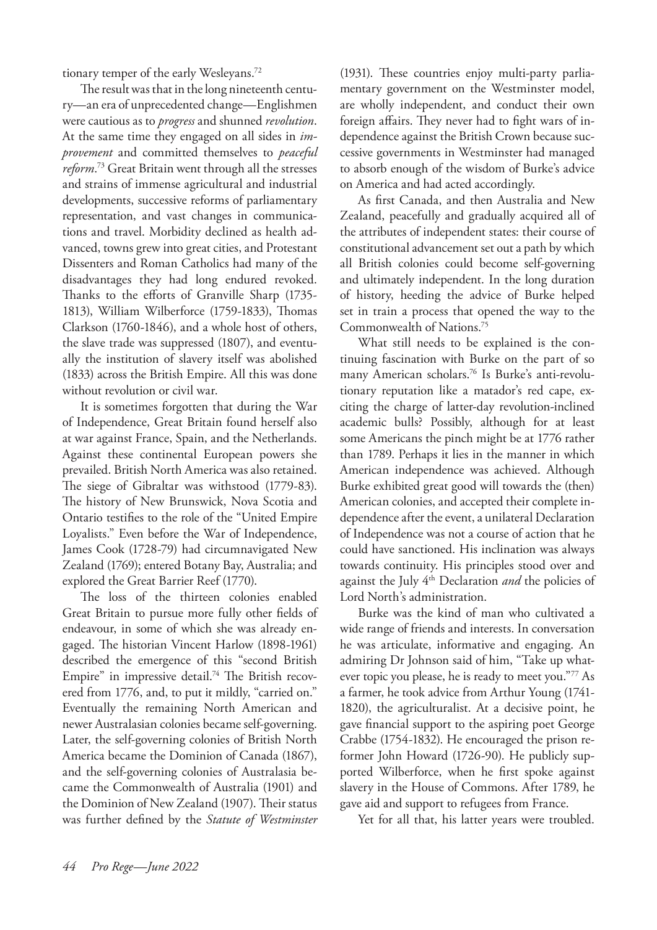tionary temper of the early Wesleyans.<sup>72</sup>

The result was that in the long nineteenth century—an era of unprecedented change—Englishmen were cautious as to *progress* and shunned *revolution*. At the same time they engaged on all sides in *improvement* and committed themselves to *peaceful reform*. 73 Great Britain went through all the stresses and strains of immense agricultural and industrial developments, successive reforms of parliamentary representation, and vast changes in communications and travel. Morbidity declined as health advanced, towns grew into great cities, and Protestant Dissenters and Roman Catholics had many of the disadvantages they had long endured revoked. Thanks to the efforts of Granville Sharp (1735- 1813), William Wilberforce (1759-1833), Thomas Clarkson (1760-1846), and a whole host of others, the slave trade was suppressed (1807), and eventually the institution of slavery itself was abolished (1833) across the British Empire. All this was done without revolution or civil war.

It is sometimes forgotten that during the War of Independence, Great Britain found herself also at war against France, Spain, and the Netherlands. Against these continental European powers she prevailed. British North America was also retained. The siege of Gibraltar was withstood (1779-83). The history of New Brunswick, Nova Scotia and Ontario testifies to the role of the "United Empire Loyalists." Even before the War of Independence, James Cook (1728-79) had circumnavigated New Zealand (1769); entered Botany Bay, Australia; and explored the Great Barrier Reef (1770).

The loss of the thirteen colonies enabled Great Britain to pursue more fully other fields of endeavour, in some of which she was already engaged. The historian Vincent Harlow (1898-1961) described the emergence of this "second British Empire" in impressive detail.<sup>74</sup> The British recovered from 1776, and, to put it mildly, "carried on." Eventually the remaining North American and newer Australasian colonies became self-governing. Later, the self-governing colonies of British North America became the Dominion of Canada (1867), and the self-governing colonies of Australasia became the Commonwealth of Australia (1901) and the Dominion of New Zealand (1907). Their status was further defined by the *Statute of Westminster* (1931). These countries enjoy multi-party parliamentary government on the Westminster model, are wholly independent, and conduct their own foreign affairs. They never had to fight wars of independence against the British Crown because successive governments in Westminster had managed to absorb enough of the wisdom of Burke's advice on America and had acted accordingly.

As first Canada, and then Australia and New Zealand, peacefully and gradually acquired all of the attributes of independent states: their course of constitutional advancement set out a path by which all British colonies could become self-governing and ultimately independent. In the long duration of history, heeding the advice of Burke helped set in train a process that opened the way to the Commonwealth of Nations.75

What still needs to be explained is the continuing fascination with Burke on the part of so many American scholars.76 Is Burke's anti-revolutionary reputation like a matador's red cape, exciting the charge of latter-day revolution-inclined academic bulls? Possibly, although for at least some Americans the pinch might be at 1776 rather than 1789. Perhaps it lies in the manner in which American independence was achieved. Although Burke exhibited great good will towards the (then) American colonies, and accepted their complete independence after the event, a unilateral Declaration of Independence was not a course of action that he could have sanctioned. His inclination was always towards continuity. His principles stood over and against the July 4th Declaration *and* the policies of Lord North's administration.

Burke was the kind of man who cultivated a wide range of friends and interests. In conversation he was articulate, informative and engaging. An admiring Dr Johnson said of him, "Take up whatever topic you please, he is ready to meet you."77 As a farmer, he took advice from Arthur Young (1741- 1820), the agriculturalist. At a decisive point, he gave financial support to the aspiring poet George Crabbe (1754-1832). He encouraged the prison reformer John Howard (1726-90). He publicly supported Wilberforce, when he first spoke against slavery in the House of Commons. After 1789, he gave aid and support to refugees from France.

Yet for all that, his latter years were troubled.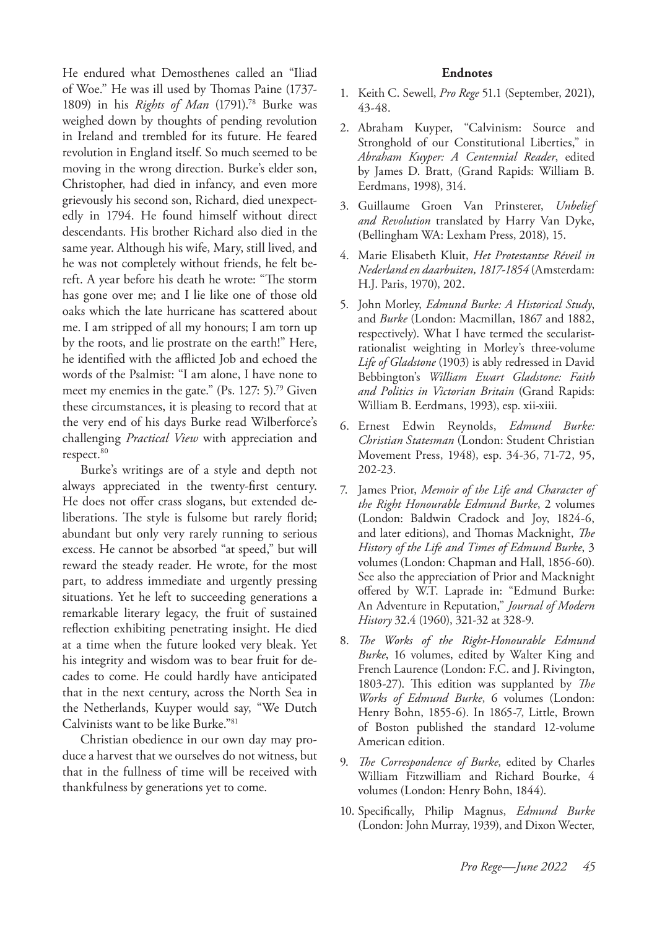He endured what Demosthenes called an "Iliad of Woe." He was ill used by Thomas Paine (1737- 1809) in his *Rights of Man* (1791).78 Burke was weighed down by thoughts of pending revolution in Ireland and trembled for its future. He feared revolution in England itself. So much seemed to be moving in the wrong direction. Burke's elder son, Christopher, had died in infancy, and even more grievously his second son, Richard, died unexpectedly in 1794. He found himself without direct descendants. His brother Richard also died in the same year. Although his wife, Mary, still lived, and he was not completely without friends, he felt bereft. A year before his death he wrote: "The storm has gone over me; and I lie like one of those old oaks which the late hurricane has scattered about me. I am stripped of all my honours; I am torn up by the roots, and lie prostrate on the earth!" Here, he identified with the afflicted Job and echoed the words of the Psalmist: "I am alone, I have none to meet my enemies in the gate." (Ps. 127: 5).<sup>79</sup> Given these circumstances, it is pleasing to record that at the very end of his days Burke read Wilberforce's challenging *Practical View* with appreciation and respect.<sup>80</sup>

Burke's writings are of a style and depth not always appreciated in the twenty-first century. He does not offer crass slogans, but extended deliberations. The style is fulsome but rarely florid; abundant but only very rarely running to serious excess. He cannot be absorbed "at speed," but will reward the steady reader. He wrote, for the most part, to address immediate and urgently pressing situations. Yet he left to succeeding generations a remarkable literary legacy, the fruit of sustained reflection exhibiting penetrating insight. He died at a time when the future looked very bleak. Yet his integrity and wisdom was to bear fruit for decades to come. He could hardly have anticipated that in the next century, across the North Sea in the Netherlands, Kuyper would say, "We Dutch Calvinists want to be like Burke."81

Christian obedience in our own day may produce a harvest that we ourselves do not witness, but that in the fullness of time will be received with thankfulness by generations yet to come.

#### **Endnotes**

- 1. Keith C. Sewell, *Pro Rege* 51.1 (September, 2021), 43-48.
- 2. Abraham Kuyper, "Calvinism: Source and Stronghold of our Constitutional Liberties," in *Abraham Kuyper: A Centennial Reader*, edited by James D. Bratt, (Grand Rapids: William B. Eerdmans, 1998), 314.
- 3. Guillaume Groen Van Prinsterer, *Unbelief and Revolution* translated by Harry Van Dyke, (Bellingham WA: Lexham Press, 2018), 15.
- 4. Marie Elisabeth Kluit, *Het Protestantse Réveil in Nederland en daarbuiten, 1817-1854* (Amsterdam: H.J. Paris, 1970), 202.
- 5. John Morley, *Edmund Burke: A Historical Study*, and *Burke* (London: Macmillan, 1867 and 1882, respectively). What I have termed the secularistrationalist weighting in Morley's three-volume *Life of Gladstone* (1903) is ably redressed in David Bebbington's *William Ewart Gladstone: Faith and Politics in Victorian Britain* (Grand Rapids: William B. Eerdmans, 1993), esp. xii-xiii.
- 6. Ernest Edwin Reynolds, *Edmund Burke: Christian Statesman* (London: Student Christian Movement Press, 1948), esp. 34-36, 71-72, 95, 202-23.
- 7. James Prior, *Memoir of the Life and Character of the Right Honourable Edmund Burke*, 2 volumes (London: Baldwin Cradock and Joy, 1824-6, and later editions), and Thomas Macknight, *The History of the Life and Times of Edmund Burke*, 3 volumes (London: Chapman and Hall, 1856-60). See also the appreciation of Prior and Macknight offered by W.T. Laprade in: "Edmund Burke: An Adventure in Reputation," *Journal of Modern History* 32.4 (1960), 321-32 at 328-9.
- 8. *The Works of the Right-Honourable Edmund Burke*, 16 volumes, edited by Walter King and French Laurence (London: F.C. and J. Rivington, 1803-27). This edition was supplanted by *The Works of Edmund Burke*, 6 volumes (London: Henry Bohn, 1855-6). In 1865-7, Little, Brown of Boston published the standard 12-volume American edition.
- 9. *The Correspondence of Burke*, edited by Charles William Fitzwilliam and Richard Bourke, 4 volumes (London: Henry Bohn, 1844).
- 10. Specifically, Philip Magnus, *Edmund Burke* (London: John Murray, 1939), and Dixon Wecter,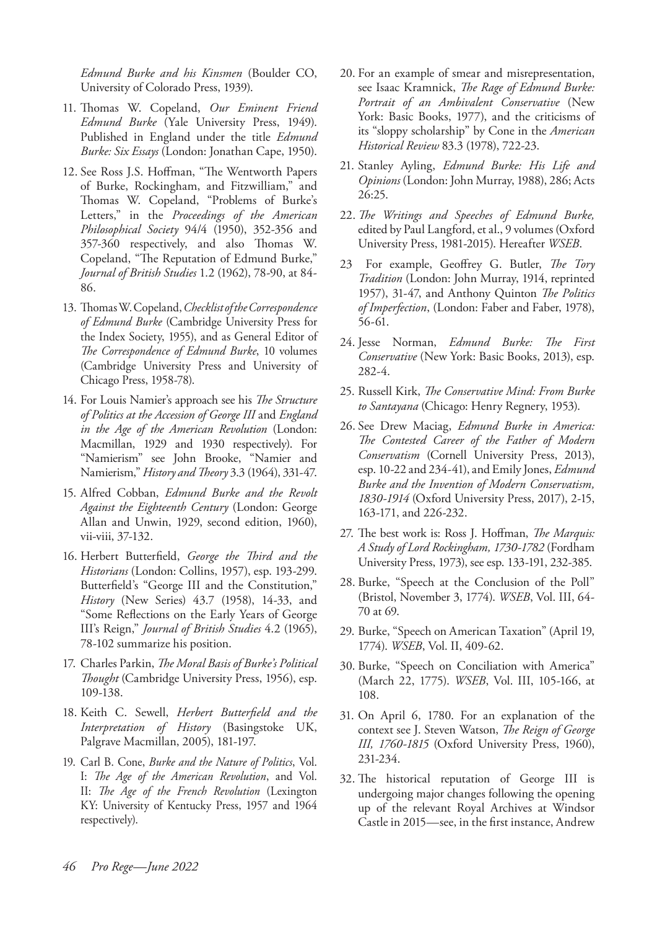*Edmund Burke and his Kinsmen* (Boulder CO, University of Colorado Press, 1939).

- 11. Thomas W. Copeland, *Our Eminent Friend Edmund Burke* (Yale University Press, 1949). Published in England under the title *Edmund Burke: Six Essays* (London: Jonathan Cape, 1950).
- 12. See Ross J.S. Hoffman, "The Wentworth Papers of Burke, Rockingham, and Fitzwilliam," and Thomas W. Copeland, "Problems of Burke's Letters," in the *Proceedings of the American Philosophical Society* 94/4 (1950), 352-356 and 357-360 respectively, and also Thomas W. Copeland, "The Reputation of Edmund Burke," *Journal of British Studies* 1.2 (1962), 78-90, at 84- 86.
- 13. Thomas W. Copeland, *Checklist of the Correspondence of Edmund Burke* (Cambridge University Press for the Index Society, 1955), and as General Editor of *The Correspondence of Edmund Burke*, 10 volumes (Cambridge University Press and University of Chicago Press, 1958-78).
- 14. For Louis Namier's approach see his *The Structure of Politics at the Accession of George III* and *England in the Age of the American Revolution* (London: Macmillan, 1929 and 1930 respectively). For "Namierism" see John Brooke, "Namier and Namierism," *History and Theory* 3.3 (1964), 331-47.
- 15. Alfred Cobban, *Edmund Burke and the Revolt Against the Eighteenth Century* (London: George Allan and Unwin, 1929, second edition, 1960), vii-viii, 37-132.
- 16. Herbert Butterfield, *George the Third and the Historians* (London: Collins, 1957), esp. 193-299. Butterfield's "George III and the Constitution," *History* (New Series) 43.7 (1958), 14-33, and "Some Reflections on the Early Years of George III's Reign," *Journal of British Studies* 4.2 (1965), 78-102 summarize his position.
- 17. Charles Parkin, *The Moral Basis of Burke's Political Thought* (Cambridge University Press, 1956), esp. 109-138.
- 18. Keith C. Sewell, *Herbert Butterfield and the Interpretation of History* (Basingstoke UK, Palgrave Macmillan, 2005), 181-197.
- 19. Carl B. Cone, *Burke and the Nature of Politics*, Vol. I: *The Age of the American Revolution*, and Vol. II: *The Age of the French Revolution* (Lexington KY: University of Kentucky Press, 1957 and 1964 respectively).
- 20. For an example of smear and misrepresentation, see Isaac Kramnick, *The Rage of Edmund Burke: Portrait of an Ambivalent Conservative* (New York: Basic Books, 1977), and the criticisms of its "sloppy scholarship" by Cone in the *American Historical Review* 83.3 (1978), 722-23.
- 21. Stanley Ayling, *Edmund Burke: His Life and Opinions* (London: John Murray, 1988), 286; Acts 26:25.
- 22. *The Writings and Speeches of Edmund Burke,*  edited by Paul Langford, et al., 9 volumes (Oxford University Press, 1981-2015). Hereafter *WSEB*.
- 23 For example, Geoffrey G. Butler, *The Tory Tradition* (London: John Murray, 1914, reprinted 1957), 31-47, and Anthony Quinton *The Politics of Imperfection*, (London: Faber and Faber, 1978), 56-61.
- 24. Jesse Norman, *Edmund Burke: The First Conservative* (New York: Basic Books, 2013), esp. 282-4.
- 25. Russell Kirk, *The Conservative Mind: From Burke to Santayana* (Chicago: Henry Regnery, 1953).
- 26. See Drew Maciag, *Edmund Burke in America: The Contested Career of the Father of Modern Conservatism* (Cornell University Press, 2013), esp. 10-22 and 234-41), and Emily Jones, *Edmund Burke and the Invention of Modern Conservatism, 1830-1914* (Oxford University Press, 2017), 2-15, 163-171, and 226-232.
- 27. The best work is: Ross J. Hoffman, *The Marquis: A Study of Lord Rockingham, 1730-1782* (Fordham University Press, 1973), see esp. 133-191, 232-385.
- 28. Burke, "Speech at the Conclusion of the Poll" (Bristol, November 3, 1774). *WSEB*, Vol. III, 64- 70 at 69.
- 29. Burke, "Speech on American Taxation" (April 19, 1774). *WSEB*, Vol. II, 409-62.
- 30. Burke, "Speech on Conciliation with America" (March 22, 1775). *WSEB*, Vol. III, 105-166, at 108.
- 31. On April 6, 1780. For an explanation of the context see J. Steven Watson, *The Reign of George III, 1760-1815* (Oxford University Press, 1960), 231-234.
- 32. The historical reputation of George III is undergoing major changes following the opening up of the relevant Royal Archives at Windsor Castle in 2015—see, in the first instance, Andrew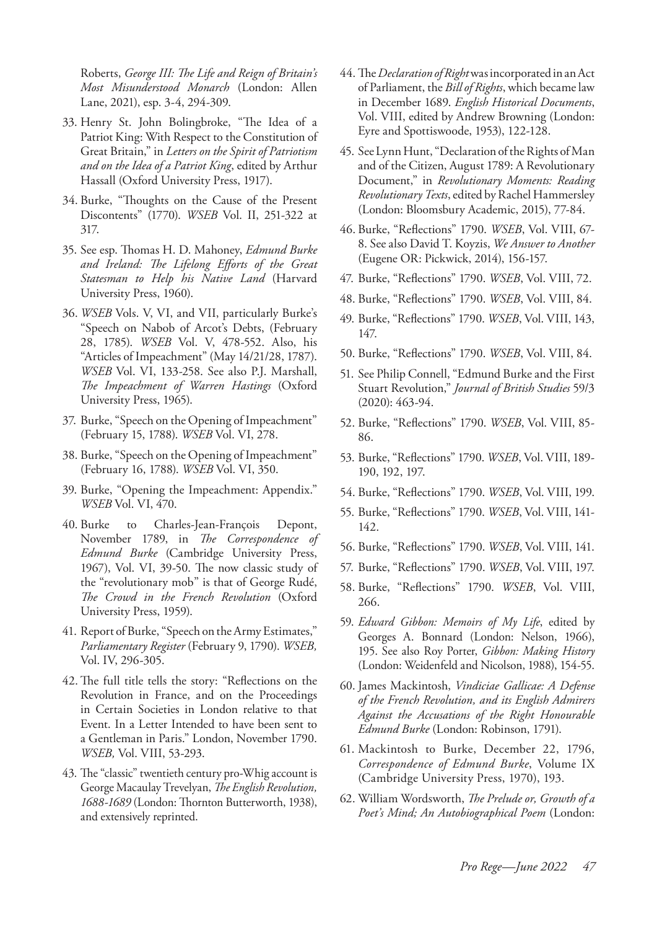Roberts, *George III: The Life and Reign of Britain's Most Misunderstood Monarch* (London: Allen Lane, 2021), esp. 3-4, 294-309.

- 33. Henry St. John Bolingbroke, "The Idea of a Patriot King: With Respect to the Constitution of Great Britain," in *Letters on the Spirit of Patriotism and on the Idea of a Patriot King*, edited by Arthur Hassall (Oxford University Press, 1917).
- 34. Burke, "Thoughts on the Cause of the Present Discontents" (1770). *WSEB* Vol. II, 251-322 at 317.
- 35. See esp. Thomas H. D. Mahoney, *Edmund Burke and Ireland: The Lifelong Efforts of the Great Statesman to Help his Native Land* (Harvard University Press, 1960).
- 36. *WSEB* Vols. V, VI, and VII, particularly Burke's "Speech on Nabob of Arcot's Debts, (February 28, 1785). *WSEB* Vol. V, 478-552. Also, his "Articles of Impeachment" (May 14/21/28, 1787). *WSEB* Vol. VI, 133-258. See also P.J. Marshall, *The Impeachment of Warren Hastings* (Oxford University Press, 1965).
- 37. Burke, "Speech on the Opening of Impeachment" (February 15, 1788). *WSEB* Vol. VI, 278.
- 38. Burke, "Speech on the Opening of Impeachment" (February 16, 1788). *WSEB* Vol. VI, 350.
- 39. Burke, "Opening the Impeachment: Appendix." *WSEB* Vol. VI, 470.
- 40. Burke to Charles-Jean-François Depont, November 1789, in *The Correspondence of Edmund Burke* (Cambridge University Press, 1967), Vol. VI, 39-50. The now classic study of the "revolutionary mob" is that of George Rudé, *The Crowd in the French Revolution* (Oxford University Press, 1959).
- 41. Report of Burke, "Speech on the Army Estimates," *Parliamentary Register* (February 9, 1790). *WSEB,* Vol. IV, 296-305.
- 42.The full title tells the story: "Reflections on the Revolution in France, and on the Proceedings in Certain Societies in London relative to that Event. In a Letter Intended to have been sent to a Gentleman in Paris." London, November 1790. *WSEB,* Vol. VIII, 53-293.
- 43. The "classic" twentieth century pro-Whig account is George Macaulay Trevelyan, *The English Revolution, 1688-1689* (London: Thornton Butterworth, 1938), and extensively reprinted.
- 44. The *Declaration of Right* was incorporated in an Act of Parliament, the *Bill of Rights*, which became law in December 1689. *English Historical Documents*, Vol. VIII, edited by Andrew Browning (London: Eyre and Spottiswoode, 1953), 122-128.
- 45. See Lynn Hunt, "Declaration of the Rights of Man and of the Citizen, August 1789: A Revolutionary Document," in *Revolutionary Moments: Reading Revolutionary Texts*, edited by Rachel Hammersley (London: Bloomsbury Academic, 2015), 77-84.
- 46. Burke, "Reflections" 1790. *WSEB*, Vol. VIII, 67- 8. See also David T. Koyzis, *We Answer to Another* (Eugene OR: Pickwick, 2014), 156-157.
- 47. Burke, "Reflections" 1790. *WSEB*, Vol. VIII, 72.
- 48. Burke, "Reflections" 1790. *WSEB*, Vol. VIII, 84.
- 49. Burke, "Reflections" 1790. *WSEB*, Vol. VIII, 143, 147.
- 50. Burke, "Reflections" 1790. *WSEB*, Vol. VIII, 84.
- 51. See Philip Connell, "Edmund Burke and the First Stuart Revolution," *Journal of British Studies* 59/3 (2020): 463-94.
- 52. Burke, "Reflections" 1790. *WSEB*, Vol. VIII, 85- 86.
- 53. Burke, "Reflections" 1790. *WSEB*, Vol. VIII, 189- 190, 192, 197.
- 54. Burke, "Reflections" 1790. *WSEB*, Vol. VIII, 199.
- 55. Burke, "Reflections" 1790. *WSEB*, Vol. VIII, 141- 142.
- 56. Burke, "Reflections" 1790. *WSEB*, Vol. VIII, 141.
- 57. Burke, "Reflections" 1790. *WSEB*, Vol. VIII, 197.
- 58. Burke, "Reflections" 1790. *WSEB*, Vol. VIII, 266.
- 59. *Edward Gibbon: Memoirs of My Life*, edited by Georges A. Bonnard (London: Nelson, 1966), 195. See also Roy Porter, *Gibbon: Making History* (London: Weidenfeld and Nicolson, 1988), 154-55.
- 60. James Mackintosh, *Vindiciae Gallicae: A Defense of the French Revolution, and its English Admirers Against the Accusations of the Right Honourable Edmund Burke* (London: Robinson, 1791).
- 61. Mackintosh to Burke, December 22, 1796, *Correspondence of Edmund Burke*, Volume IX (Cambridge University Press, 1970), 193.
- 62. William Wordsworth, *The Prelude or, Growth of a Poet's Mind; An Autobiographical Poem* (London: